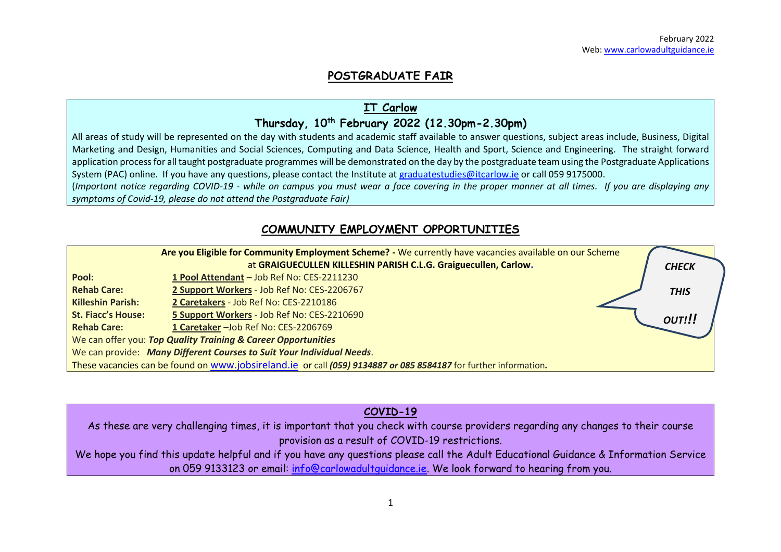# **POSTGRADUATE FAIR**

# **IT Carlow**

### **Thursday, 10 th February 2022 (12.30pm-2.30pm)**

All areas of study will be represented on the day with students and academic staff available to answer questions, subject areas include, Business, Digital Marketing and Design, Humanities and Social Sciences, Computing and Data Science, Health and Sport, Science and Engineering. The straight forward application process for all taught postgraduate programmes will be demonstrated on the day by the postgraduate team using the Postgraduate Applications System (PAC) online. If you have any questions, please contact the Institute at [graduatestudies@itcarlow.ie](mailto:graduatestudies@itcarlow.ie) or call 059 9175000.

(*Important notice regarding COVID-19 - while on campus you must wear a face covering in the proper manner at all times. If you are displaying any symptoms of Covid-19, please do not attend the Postgraduate Fair)*

# **COMMUNITY EMPLOYMENT OPPORTUNITIES**

|                                                                       | Are you Eligible for Community Employment Scheme? - We currently have vacancies available on our Scheme          |  |              |  |  |  |
|-----------------------------------------------------------------------|------------------------------------------------------------------------------------------------------------------|--|--------------|--|--|--|
|                                                                       | at GRAIGUECULLEN KILLESHIN PARISH C.L.G. Graiguecullen, Carlow.                                                  |  | <b>CHECK</b> |  |  |  |
| Pool:                                                                 | 1 Pool Attendant - Job Ref No: CES-2211230                                                                       |  |              |  |  |  |
| <b>Rehab Care:</b>                                                    | 2 Support Workers - Job Ref No: CES-2206767                                                                      |  | <b>THIS</b>  |  |  |  |
| <b>Killeshin Parish:</b>                                              | 2 Caretakers - Job Ref No: CES-2210186                                                                           |  |              |  |  |  |
| <b>St. Fiacc's House:</b>                                             | 5 Support Workers - Job Ref No: CES-2210690                                                                      |  | OUT!!!       |  |  |  |
| <b>Rehab Care:</b>                                                    | 1 Caretaker - Job Ref No: CES-2206769                                                                            |  |              |  |  |  |
|                                                                       | We can offer you: Top Quality Training & Career Opportunities                                                    |  |              |  |  |  |
| We can provide: Many Different Courses to Suit Your Individual Needs. |                                                                                                                  |  |              |  |  |  |
|                                                                       | These vacancies can be found on www.jobsireland.ie or call (059) 9134887 or 085 8584187 for further information. |  |              |  |  |  |

### **COVID-19**

As these are very challenging times, it is important that you check with course providers regarding any changes to their course provision as a result of COVID-19 restrictions.

We hope you find this update helpful and if you have any questions please call the Adult Educational Guidance & Information Service on 059 9133123 or email: [info@carlowadultguidance.ie.](mailto:info@carlowadultguidance.ie) We look forward to hearing from you.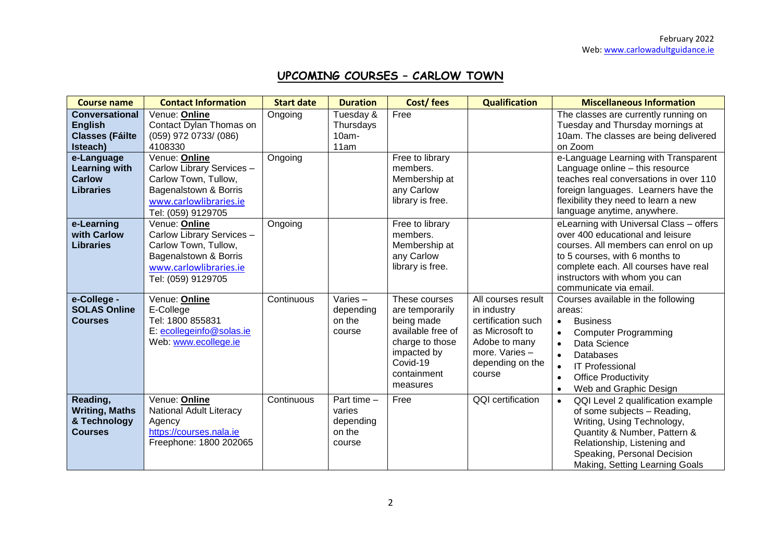# **UPCOMING COURSES – CARLOW TOWN**

| <b>Course name</b>                                                                                                                                       | <b>Contact Information</b>                                                                                                                                                                                                  | <b>Start date</b>  | <b>Duration</b>                                        | Cost/fees                                                                                                                                    | <b>Qualification</b>                                                                                                                        | <b>Miscellaneous Information</b>                                                                                                                                                                                                                                                                                                                                 |
|----------------------------------------------------------------------------------------------------------------------------------------------------------|-----------------------------------------------------------------------------------------------------------------------------------------------------------------------------------------------------------------------------|--------------------|--------------------------------------------------------|----------------------------------------------------------------------------------------------------------------------------------------------|---------------------------------------------------------------------------------------------------------------------------------------------|------------------------------------------------------------------------------------------------------------------------------------------------------------------------------------------------------------------------------------------------------------------------------------------------------------------------------------------------------------------|
| <b>Conversational</b><br><b>English</b><br><b>Classes (Fáilte</b><br>Isteach)<br>e-Language<br><b>Learning with</b><br><b>Carlow</b><br><b>Libraries</b> | Venue: Online<br>Contact Dylan Thomas on<br>(059) 972 0733/ (086)<br>4108330<br>Venue: Online<br>Carlow Library Services -<br>Carlow Town, Tullow,<br>Bagenalstown & Borris<br>www.carlowlibraries.ie<br>Tel: (059) 9129705 | Ongoing<br>Ongoing | Tuesday &<br>Thursdays<br>$10am -$<br>11am             | Free<br>Free to library<br>members.<br>Membership at<br>any Carlow<br>library is free.                                                       |                                                                                                                                             | The classes are currently running on<br>Tuesday and Thursday mornings at<br>10am. The classes are being delivered<br>on Zoom<br>e-Language Learning with Transparent<br>Language online - this resource<br>teaches real conversations in over 110<br>foreign languages. Learners have the<br>flexibility they need to learn a new<br>language anytime, anywhere. |
| e-Learning<br>with Carlow<br><b>Libraries</b>                                                                                                            | Venue: Online<br>Carlow Library Services -<br>Carlow Town, Tullow,<br>Bagenalstown & Borris<br>www.carlowlibraries.ie<br>Tel: (059) 9129705                                                                                 | Ongoing            |                                                        | Free to library<br>members.<br>Membership at<br>any Carlow<br>library is free.                                                               |                                                                                                                                             | eLearning with Universal Class - offers<br>over 400 educational and leisure<br>courses. All members can enrol on up<br>to 5 courses, with 6 months to<br>complete each. All courses have real<br>instructors with whom you can<br>communicate via email.                                                                                                         |
| e-College -<br><b>SOLAS Online</b><br><b>Courses</b>                                                                                                     | Venue: Online<br>E-College<br>Tel: 1800 855831<br>E: ecollegeinfo@solas.ie<br>Web: www.ecollege.ie                                                                                                                          | Continuous         | Varies-<br>depending<br>on the<br>course               | These courses<br>are temporarily<br>being made<br>available free of<br>charge to those<br>impacted by<br>Covid-19<br>containment<br>measures | All courses result<br>in industry<br>certification such<br>as Microsoft to<br>Adobe to many<br>more. Varies -<br>depending on the<br>course | Courses available in the following<br>areas:<br><b>Business</b><br><b>Computer Programming</b><br>Data Science<br>Databases<br>$\bullet$<br><b>IT Professional</b><br><b>Office Productivity</b><br>Web and Graphic Design<br>$\bullet$                                                                                                                          |
| Reading,<br><b>Writing, Maths</b><br>& Technology<br><b>Courses</b>                                                                                      | Venue: Online<br>National Adult Literacy<br>Agency<br>https://courses.nala.ie<br>Freephone: 1800 202065                                                                                                                     | Continuous         | Part time -<br>varies<br>depending<br>on the<br>course | Free                                                                                                                                         | QQI certification                                                                                                                           | QQI Level 2 qualification example<br>$\bullet$<br>of some subjects - Reading,<br>Writing, Using Technology,<br>Quantity & Number, Pattern &<br>Relationship, Listening and<br>Speaking, Personal Decision<br>Making, Setting Learning Goals                                                                                                                      |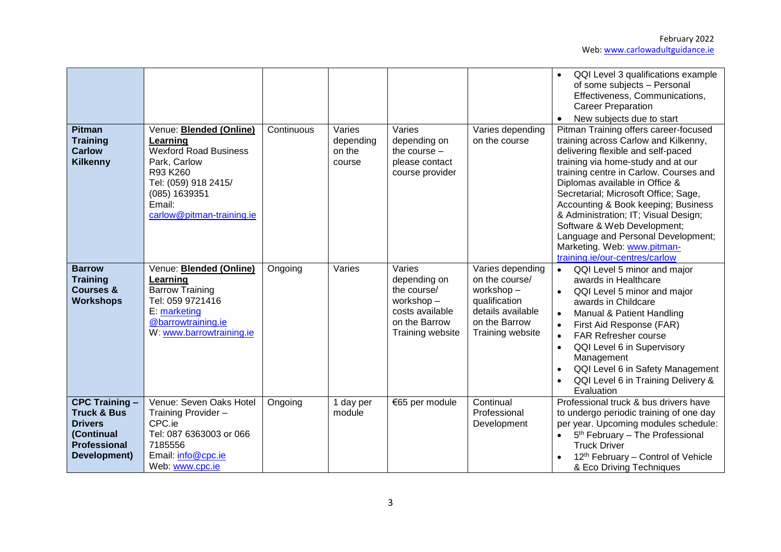February 2022 Web[: www.carlowadultguidance.ie](http://www.carlowadultguidance.ie/)

|                                                                                                                        |                                                                                                                                                                                        |            |                                         |                                                                                                            |                                                                                                                            | QQI Level 3 qualifications example<br>of some subjects - Personal<br>Effectiveness, Communications,<br><b>Career Preparation</b><br>New subjects due to start                                                                                                                                                                                                                                                                                                                                      |
|------------------------------------------------------------------------------------------------------------------------|----------------------------------------------------------------------------------------------------------------------------------------------------------------------------------------|------------|-----------------------------------------|------------------------------------------------------------------------------------------------------------|----------------------------------------------------------------------------------------------------------------------------|----------------------------------------------------------------------------------------------------------------------------------------------------------------------------------------------------------------------------------------------------------------------------------------------------------------------------------------------------------------------------------------------------------------------------------------------------------------------------------------------------|
| <b>Pitman</b><br><b>Training</b><br><b>Carlow</b><br><b>Kilkenny</b>                                                   | Venue: <b>Blended (Online)</b><br>Learning<br><b>Wexford Road Business</b><br>Park, Carlow<br>R93 K260<br>Tel: (059) 918 2415/<br>(085) 1639351<br>Email:<br>carlow@pitman-training.ie | Continuous | Varies<br>depending<br>on the<br>course | Varies<br>depending on<br>the course $-$<br>please contact<br>course provider                              | Varies depending<br>on the course                                                                                          | Pitman Training offers career-focused<br>training across Carlow and Kilkenny,<br>delivering flexible and self-paced<br>training via home-study and at our<br>training centre in Carlow. Courses and<br>Diplomas available in Office &<br>Secretarial; Microsoft Office; Sage,<br>Accounting & Book keeping; Business<br>& Administration; IT; Visual Design;<br>Software & Web Development;<br>Language and Personal Development;<br>Marketing. Web: www.pitman-<br>training.ie/our-centres/carlow |
| <b>Barrow</b><br><b>Training</b><br><b>Courses &amp;</b><br><b>Workshops</b>                                           | Venue: <b>Blended (Online)</b><br>Learning<br><b>Barrow Training</b><br>Tel: 059 9721416<br>E: marketing<br>@barrowtraining.ie<br>W: www.barrowtraining.ie                             | Ongoing    | Varies                                  | Varies<br>depending on<br>the course/<br>workshop-<br>costs available<br>on the Barrow<br>Training website | Varies depending<br>on the course/<br>workshop-<br>qualification<br>details available<br>on the Barrow<br>Training website | QQI Level 5 minor and major<br>$\bullet$<br>awards in Healthcare<br>QQI Level 5 minor and major<br>$\bullet$<br>awards in Childcare<br>Manual & Patient Handling<br>First Aid Response (FAR)<br>FAR Refresher course<br>$\bullet$<br>QQI Level 6 in Supervisory<br>$\bullet$<br>Management<br>QQI Level 6 in Safety Management<br>QQI Level 6 in Training Delivery &<br>Evaluation                                                                                                                 |
| <b>CPC Training -</b><br><b>Truck &amp; Bus</b><br><b>Drivers</b><br>(Continual<br><b>Professional</b><br>Development) | Venue: Seven Oaks Hotel<br>Training Provider -<br>CPC.ie<br>Tel: 087 6363003 or 066<br>7185556<br>Email: info@cpc.ie<br>Web: www.cpc.ie                                                | Ongoing    | 1 day per<br>module                     | €65 per module                                                                                             | Continual<br>Professional<br>Development                                                                                   | Professional truck & bus drivers have<br>to undergo periodic training of one day<br>per year. Upcoming modules schedule:<br>5 <sup>th</sup> February - The Professional<br><b>Truck Driver</b><br>12th February - Control of Vehicle<br>& Eco Driving Techniques                                                                                                                                                                                                                                   |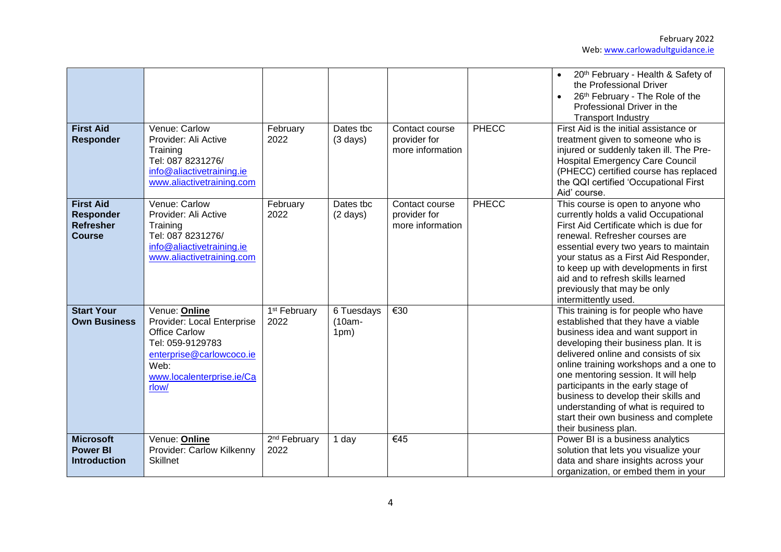| <b>First Aid</b><br><b>Responder</b>                                      | Venue: Carlow<br>Provider: Ali Active<br>Training<br>Tel: 087 8231276/<br>info@aliactivetraining.ie<br>www.aliactivetraining.com                                  | February<br>2022                 | Dates tbc<br>$(3 \text{ days})$ | Contact course<br>provider for<br>more information | <b>PHECC</b> | 20th February - Health & Safety of<br>the Professional Driver<br>26th February - The Role of the<br>$\bullet$<br>Professional Driver in the<br><b>Transport Industry</b><br>First Aid is the initial assistance or<br>treatment given to someone who is<br>injured or suddenly taken ill. The Pre-<br><b>Hospital Emergency Care Council</b><br>(PHECC) certified course has replaced<br>the QQI certified 'Occupational First<br>Aid' course.                            |
|---------------------------------------------------------------------------|-------------------------------------------------------------------------------------------------------------------------------------------------------------------|----------------------------------|---------------------------------|----------------------------------------------------|--------------|---------------------------------------------------------------------------------------------------------------------------------------------------------------------------------------------------------------------------------------------------------------------------------------------------------------------------------------------------------------------------------------------------------------------------------------------------------------------------|
| <b>First Aid</b><br><b>Responder</b><br><b>Refresher</b><br><b>Course</b> | Venue: Carlow<br>Provider: Ali Active<br>Training<br>Tel: 087 8231276/<br>info@aliactivetraining.ie<br>www.aliactivetraining.com                                  | February<br>2022                 | Dates tbc<br>$(2 \text{ days})$ | Contact course<br>provider for<br>more information | <b>PHECC</b> | This course is open to anyone who<br>currently holds a valid Occupational<br>First Aid Certificate which is due for<br>renewal. Refresher courses are<br>essential every two years to maintain<br>your status as a First Aid Responder,<br>to keep up with developments in first<br>aid and to refresh skills learned<br>previously that may be only<br>intermittently used.                                                                                              |
| <b>Start Your</b><br><b>Own Business</b>                                  | Venue: Online<br>Provider: Local Enterprise<br><b>Office Carlow</b><br>Tel: 059-9129783<br>enterprise@carlowcoco.ie<br>Web:<br>www.localenterprise.ie/Ca<br>rlow/ | 1 <sup>st</sup> February<br>2022 | 6 Tuesdays<br>$(10am -$<br>1pm) | $\overline{\epsilon}30$                            |              | This training is for people who have<br>established that they have a viable<br>business idea and want support in<br>developing their business plan. It is<br>delivered online and consists of six<br>online training workshops and a one to<br>one mentoring session. It will help<br>participants in the early stage of<br>business to develop their skills and<br>understanding of what is required to<br>start their own business and complete<br>their business plan. |
| <b>Microsoft</b><br><b>Power BI</b><br><b>Introduction</b>                | Venue: Online<br>Provider: Carlow Kilkenny<br><b>Skillnet</b>                                                                                                     | 2 <sup>nd</sup> February<br>2022 | 1 day                           | €45                                                |              | Power BI is a business analytics<br>solution that lets you visualize your<br>data and share insights across your<br>organization, or embed them in your                                                                                                                                                                                                                                                                                                                   |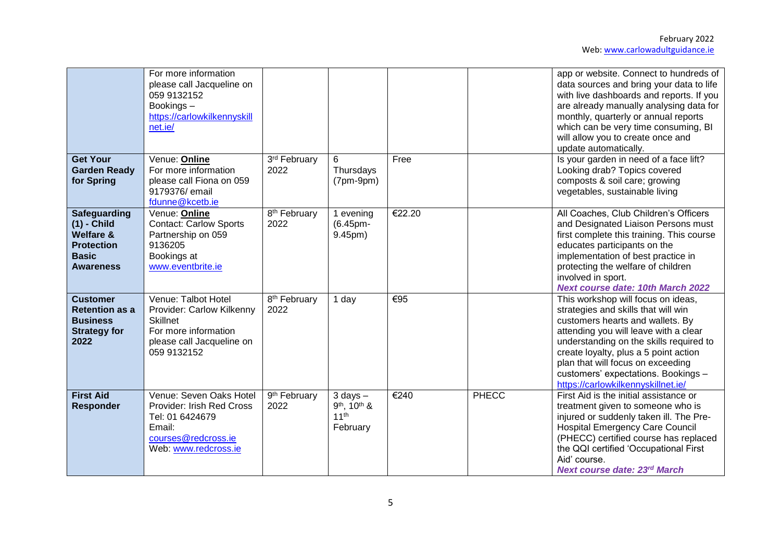| <b>Get Your</b><br><b>Garden Ready</b><br>for Spring                                                                  | For more information<br>please call Jacqueline on<br>059 9132152<br>Bookings-<br>https://carlowkilkennyskill<br>net.ie/<br>Venue: Online<br>For more information<br>please call Fiona on 059<br>9179376/ email | 3rd February<br>2022             | 6<br>Thursdays<br>$(7pm-9pm)$                               | Free   |       | app or website. Connect to hundreds of<br>data sources and bring your data to life<br>with live dashboards and reports. If you<br>are already manually analysing data for<br>monthly, quarterly or annual reports<br>which can be very time consuming, BI<br>will allow you to create once and<br>update automatically.<br>Is your garden in need of a face lift?<br>Looking drab? Topics covered<br>composts & soil care; growing<br>vegetables, sustainable living |
|-----------------------------------------------------------------------------------------------------------------------|----------------------------------------------------------------------------------------------------------------------------------------------------------------------------------------------------------------|----------------------------------|-------------------------------------------------------------|--------|-------|----------------------------------------------------------------------------------------------------------------------------------------------------------------------------------------------------------------------------------------------------------------------------------------------------------------------------------------------------------------------------------------------------------------------------------------------------------------------|
|                                                                                                                       | fdunne@kcetb.ie                                                                                                                                                                                                |                                  |                                                             |        |       |                                                                                                                                                                                                                                                                                                                                                                                                                                                                      |
| <b>Safeguarding</b><br>$(1)$ - Child<br><b>Welfare &amp;</b><br><b>Protection</b><br><b>Basic</b><br><b>Awareness</b> | Venue: Online<br><b>Contact: Carlow Sports</b><br>Partnership on 059<br>9136205<br>Bookings at<br>www.eventbrite.ie                                                                                            | 8 <sup>th</sup> February<br>2022 | 1 evening<br>(6.45pm-<br>9.45pm)                            | €22.20 |       | All Coaches, Club Children's Officers<br>and Designated Liaison Persons must<br>first complete this training. This course<br>educates participants on the<br>implementation of best practice in<br>protecting the welfare of children<br>involved in sport.<br><b>Next course date: 10th March 2022</b>                                                                                                                                                              |
| <b>Customer</b><br><b>Retention as a</b><br><b>Business</b><br><b>Strategy for</b><br>2022                            | Venue: Talbot Hotel<br>Provider: Carlow Kilkenny<br><b>Skillnet</b><br>For more information<br>please call Jacqueline on<br>059 9132152                                                                        | 8 <sup>th</sup> February<br>2022 | 1 day                                                       | €95    |       | This workshop will focus on ideas,<br>strategies and skills that will win<br>customers hearts and wallets. By<br>attending you will leave with a clear<br>understanding on the skills required to<br>create loyalty, plus a 5 point action<br>plan that will focus on exceeding<br>customers' expectations. Bookings -<br>https://carlowkilkennyskillnet.ie/                                                                                                         |
| <b>First Aid</b><br><b>Responder</b>                                                                                  | Venue: Seven Oaks Hotel<br>Provider: Irish Red Cross<br>Tel: 01 6424679<br>Email:<br>courses@redcross.ie<br>Web: www.redcross.ie                                                                               | 9 <sup>th</sup> February<br>2022 | $3$ days $-$<br>9th, 10th &<br>11 <sup>th</sup><br>February | €240   | PHECC | First Aid is the initial assistance or<br>treatment given to someone who is<br>injured or suddenly taken ill. The Pre-<br><b>Hospital Emergency Care Council</b><br>(PHECC) certified course has replaced<br>the QQI certified 'Occupational First<br>Aid' course.<br><b>Next course date: 23rd March</b>                                                                                                                                                            |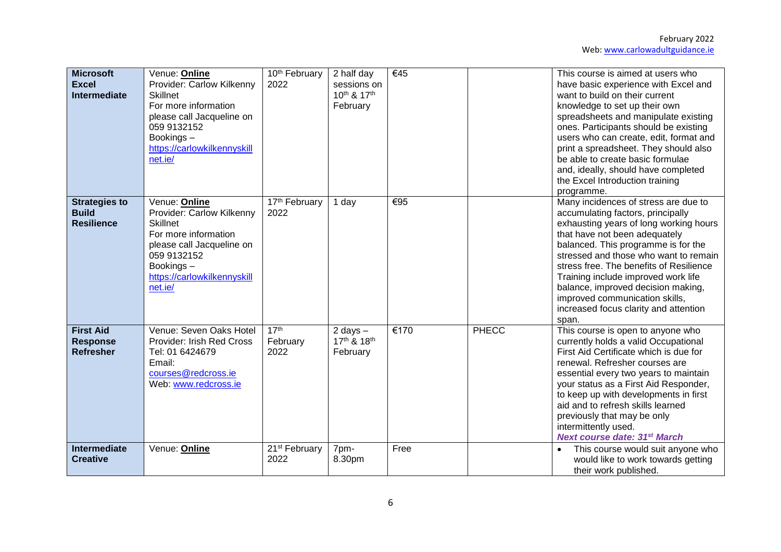| <b>Microsoft</b><br><b>Excel</b><br><b>Intermediate</b>   | Venue: Online<br>Provider: Carlow Kilkenny<br><b>Skillnet</b><br>For more information<br>please call Jacqueline on<br>059 9132152<br>Bookings-<br>https://carlowkilkennyskill<br>net.ie/ | 10th February<br>2022                | 2 half day<br>sessions on<br>10th & 17th<br>February | €45  |       | This course is aimed at users who<br>have basic experience with Excel and<br>want to build on their current<br>knowledge to set up their own<br>spreadsheets and manipulate existing<br>ones. Participants should be existing<br>users who can create, edit, format and<br>print a spreadsheet. They should also<br>be able to create basic formulae<br>and, ideally, should have completed<br>the Excel Introduction training<br>programme.     |
|-----------------------------------------------------------|------------------------------------------------------------------------------------------------------------------------------------------------------------------------------------------|--------------------------------------|------------------------------------------------------|------|-------|--------------------------------------------------------------------------------------------------------------------------------------------------------------------------------------------------------------------------------------------------------------------------------------------------------------------------------------------------------------------------------------------------------------------------------------------------|
| <b>Strategies to</b><br><b>Build</b><br><b>Resilience</b> | Venue: Online<br>Provider: Carlow Kilkenny<br><b>Skillnet</b><br>For more information<br>please call Jacqueline on<br>059 9132152<br>Bookings-<br>https://carlowkilkennyskill<br>net.ie/ | 17 <sup>th</sup> February<br>2022    | 1 day                                                | €95  |       | Many incidences of stress are due to<br>accumulating factors, principally<br>exhausting years of long working hours<br>that have not been adequately<br>balanced. This programme is for the<br>stressed and those who want to remain<br>stress free. The benefits of Resilience<br>Training include improved work life<br>balance, improved decision making,<br>improved communication skills,<br>increased focus clarity and attention<br>span. |
| <b>First Aid</b><br><b>Response</b><br><b>Refresher</b>   | Venue: Seven Oaks Hotel<br>Provider: Irish Red Cross<br>Tel: 01 6424679<br>Email:<br>courses@redcross.ie<br>Web: www.redcross.ie                                                         | 17 <sup>th</sup><br>February<br>2022 | 2 days $-$<br>17th & 18th<br>February                | €170 | PHECC | This course is open to anyone who<br>currently holds a valid Occupational<br>First Aid Certificate which is due for<br>renewal. Refresher courses are<br>essential every two years to maintain<br>your status as a First Aid Responder,<br>to keep up with developments in first<br>aid and to refresh skills learned<br>previously that may be only<br>intermittently used.<br><b>Next course date: 31st March</b>                              |
| <b>Intermediate</b><br><b>Creative</b>                    | Venue: Online                                                                                                                                                                            | 21 <sup>st</sup> February<br>2022    | 7pm-<br>8.30pm                                       | Free |       | This course would suit anyone who<br>$\bullet$<br>would like to work towards getting<br>their work published.                                                                                                                                                                                                                                                                                                                                    |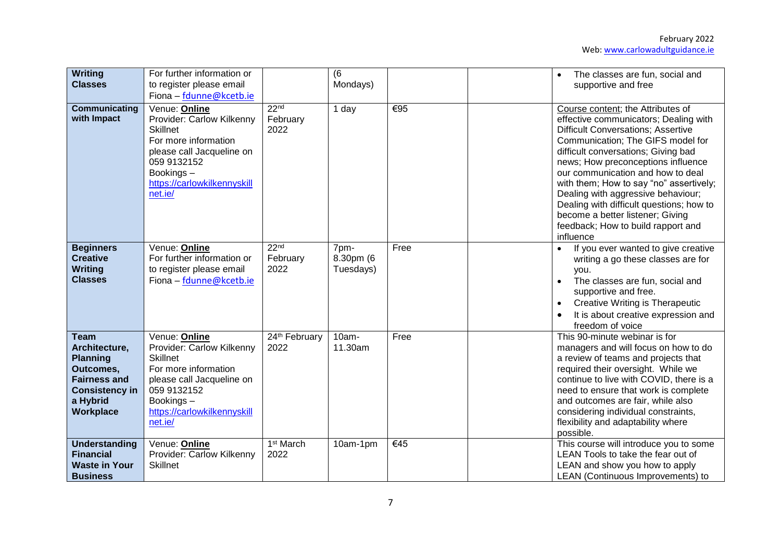| Writing<br><b>Classes</b>                                                                                                             | For further information or<br>to register please email<br>Fiona - fdunne@kcetb.ie                                                                                                        |                                      | (6)<br>Mondays)                |      | The classes are fun, social and<br>supportive and free                                                                                                                                                                                                                                                                                                                                                                                                                                             |
|---------------------------------------------------------------------------------------------------------------------------------------|------------------------------------------------------------------------------------------------------------------------------------------------------------------------------------------|--------------------------------------|--------------------------------|------|----------------------------------------------------------------------------------------------------------------------------------------------------------------------------------------------------------------------------------------------------------------------------------------------------------------------------------------------------------------------------------------------------------------------------------------------------------------------------------------------------|
| Communicating<br>with Impact                                                                                                          | Venue: Online<br>Provider: Carlow Kilkenny<br><b>Skillnet</b><br>For more information<br>please call Jacqueline on<br>059 9132152<br>Bookings-<br>https://carlowkilkennyskill<br>net.ie/ | 22 <sub>nd</sub><br>February<br>2022 | 1 day                          | €95  | Course content; the Attributes of<br>effective communicators; Dealing with<br><b>Difficult Conversations; Assertive</b><br>Communication; The GIFS model for<br>difficult conversations; Giving bad<br>news; How preconceptions influence<br>our communication and how to deal<br>with them; How to say "no" assertively;<br>Dealing with aggressive behaviour;<br>Dealing with difficult questions; how to<br>become a better listener; Giving<br>feedback; How to build rapport and<br>influence |
| <b>Beginners</b><br><b>Creative</b><br><b>Writing</b><br><b>Classes</b>                                                               | Venue: Online<br>For further information or<br>to register please email<br>Fiona - fdunne@kcetb.ie                                                                                       | 22 <sub>nd</sub><br>February<br>2022 | 7pm-<br>8.30pm (6<br>Tuesdays) | Free | If you ever wanted to give creative<br>writing a go these classes are for<br>you.<br>The classes are fun, social and<br>supportive and free.<br><b>Creative Writing is Therapeutic</b><br>It is about creative expression and<br>freedom of voice                                                                                                                                                                                                                                                  |
| <b>Team</b><br>Architecture,<br><b>Planning</b><br>Outcomes,<br><b>Fairness and</b><br><b>Consistency in</b><br>a Hybrid<br>Workplace | Venue: Online<br>Provider: Carlow Kilkenny<br><b>Skillnet</b><br>For more information<br>please call Jacqueline on<br>059 9132152<br>Bookings-<br>https://carlowkilkennyskill<br>net.ie/ | 24th February<br>2022                | $10am -$<br>11.30am            | Free | This 90-minute webinar is for<br>managers and will focus on how to do<br>a review of teams and projects that<br>required their oversight. While we<br>continue to live with COVID, there is a<br>need to ensure that work is complete<br>and outcomes are fair, while also<br>considering individual constraints,<br>flexibility and adaptability where<br>possible.                                                                                                                               |
| <b>Understanding</b><br><b>Financial</b><br><b>Waste in Your</b><br><b>Business</b>                                                   | Venue: Online<br>Provider: Carlow Kilkenny<br><b>Skillnet</b>                                                                                                                            | 1 <sup>st</sup> March<br>2022        | 10am-1pm                       | €45  | This course will introduce you to some<br>LEAN Tools to take the fear out of<br>LEAN and show you how to apply<br>LEAN (Continuous Improvements) to                                                                                                                                                                                                                                                                                                                                                |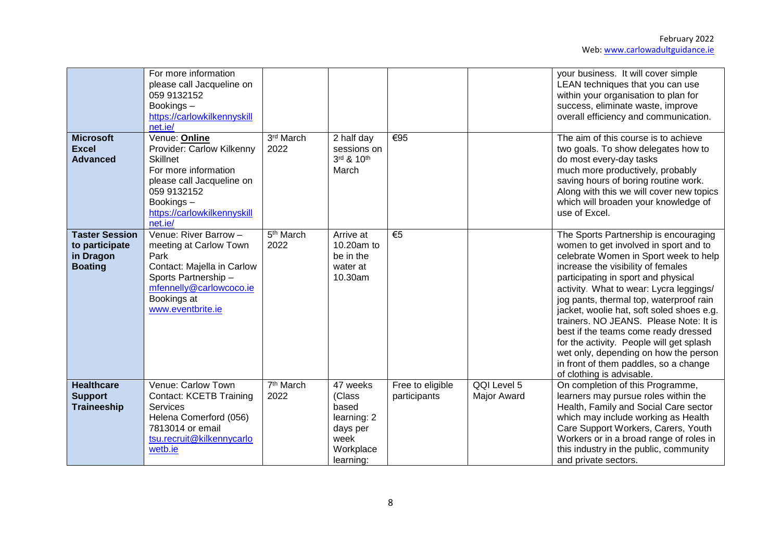|                                                                        | For more information<br>please call Jacqueline on<br>059 9132152<br>Bookings-<br>https://carlowkilkennyskill<br>net.ie/                                                                  |                               |                                                                                          |                                  |                                   | your business. It will cover simple<br>LEAN techniques that you can use<br>within your organisation to plan for<br>success, eliminate waste, improve<br>overall efficiency and communication.                                                                                                                                                                                                                                                                                                                                                                                        |
|------------------------------------------------------------------------|------------------------------------------------------------------------------------------------------------------------------------------------------------------------------------------|-------------------------------|------------------------------------------------------------------------------------------|----------------------------------|-----------------------------------|--------------------------------------------------------------------------------------------------------------------------------------------------------------------------------------------------------------------------------------------------------------------------------------------------------------------------------------------------------------------------------------------------------------------------------------------------------------------------------------------------------------------------------------------------------------------------------------|
| <b>Microsoft</b><br><b>Excel</b><br><b>Advanced</b>                    | Venue: Online<br>Provider: Carlow Kilkenny<br><b>Skillnet</b><br>For more information<br>please call Jacqueline on<br>059 9132152<br>Bookings-<br>https://carlowkilkennyskill<br>net.ie/ | $3rd$ March<br>2022           | 2 half day<br>sessions on<br>3rd & 10th<br>March                                         | €95                              |                                   | The aim of this course is to achieve<br>two goals. To show delegates how to<br>do most every-day tasks<br>much more productively, probably<br>saving hours of boring routine work.<br>Along with this we will cover new topics<br>which will broaden your knowledge of<br>use of Excel.                                                                                                                                                                                                                                                                                              |
| <b>Taster Session</b><br>to participate<br>in Dragon<br><b>Boating</b> | Venue: River Barrow -<br>meeting at Carlow Town<br>Park<br>Contact: Majella in Carlow<br>Sports Partnership-<br>mfennelly@carlowcoco.ie<br>Bookings at<br>www.eventbrite.ie              | 5 <sup>th</sup> March<br>2022 | Arrive at<br>10.20am to<br>be in the<br>water at<br>10.30am                              | €5                               |                                   | The Sports Partnership is encouraging<br>women to get involved in sport and to<br>celebrate Women in Sport week to help<br>increase the visibility of females<br>participating in sport and physical<br>activity. What to wear: Lycra leggings/<br>jog pants, thermal top, waterproof rain<br>jacket, woolie hat, soft soled shoes e.g.<br>trainers. NO JEANS. Please Note: It is<br>best if the teams come ready dressed<br>for the activity. People will get splash<br>wet only, depending on how the person<br>in front of them paddles, so a change<br>of clothing is advisable. |
| <b>Healthcare</b><br><b>Support</b><br><b>Traineeship</b>              | Venue: Carlow Town<br><b>Contact: KCETB Training</b><br><b>Services</b><br>Helena Comerford (056)<br>7813014 or email<br>tsu.recruit@kilkennycarlo<br>wetb.ie                            | $7th$ March<br>2022           | 47 weeks<br>(Class<br>based<br>learning: 2<br>days per<br>week<br>Workplace<br>learning: | Free to eligible<br>participants | QQI Level 5<br><b>Major Award</b> | On completion of this Programme,<br>learners may pursue roles within the<br>Health, Family and Social Care sector<br>which may include working as Health<br>Care Support Workers, Carers, Youth<br>Workers or in a broad range of roles in<br>this industry in the public, community<br>and private sectors.                                                                                                                                                                                                                                                                         |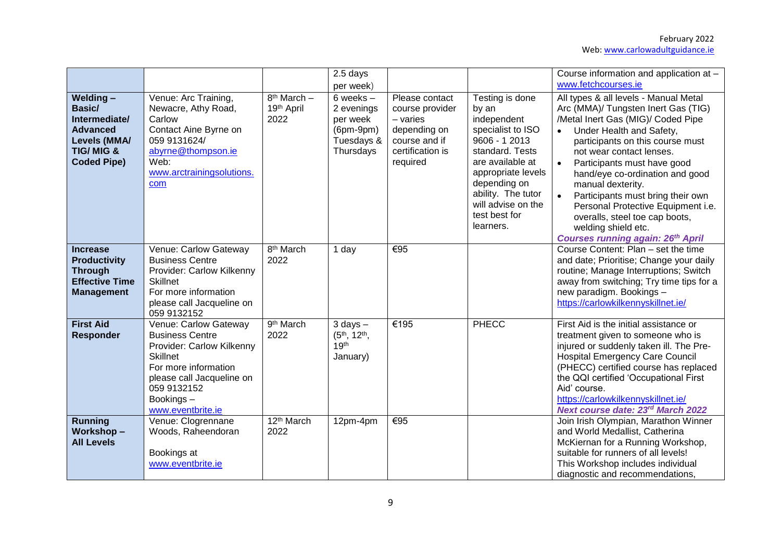|                                                                                                                                    |                                                                                                                                                                                                       |                                                            | 2.5 days<br>per week)                                                                 |                                                                                                                  |                                                                                                                                                                                                                                      | Course information and application at -<br>www.fetchcourses.ie                                                                                                                                                                                                                                                                                                                                                                                                                                                  |
|------------------------------------------------------------------------------------------------------------------------------------|-------------------------------------------------------------------------------------------------------------------------------------------------------------------------------------------------------|------------------------------------------------------------|---------------------------------------------------------------------------------------|------------------------------------------------------------------------------------------------------------------|--------------------------------------------------------------------------------------------------------------------------------------------------------------------------------------------------------------------------------------|-----------------------------------------------------------------------------------------------------------------------------------------------------------------------------------------------------------------------------------------------------------------------------------------------------------------------------------------------------------------------------------------------------------------------------------------------------------------------------------------------------------------|
| <b>Welding-</b><br>Basic/<br>Intermediate/<br><b>Advanced</b><br><b>Levels (MMA/</b><br><b>TIG/MIG &amp;</b><br><b>Coded Pipe)</b> | Venue: Arc Training,<br>Newacre, Athy Road,<br>Carlow<br>Contact Aine Byrne on<br>059 9131624/<br>abyrne@thompson.ie<br>Web:<br>www.arctrainingsolutions.<br>com                                      | $\overline{8}$ <sup>th</sup> March -<br>19th April<br>2022 | 6 weeks $-$<br>2 evenings<br>per week<br>$(6pm-9pm)$<br>Tuesdays &<br>Thursdays       | Please contact<br>course provider<br>$-$ varies<br>depending on<br>course and if<br>certification is<br>required | Testing is done<br>by an<br>independent<br>specialist to ISO<br>9606 - 1 2013<br>standard. Tests<br>are available at<br>appropriate levels<br>depending on<br>ability. The tutor<br>will advise on the<br>test best for<br>learners. | All types & all levels - Manual Metal<br>Arc (MMA)/ Tungsten Inert Gas (TIG)<br>/Metal Inert Gas (MIG)/ Coded Pipe<br>Under Health and Safety,<br>participants on this course must<br>not wear contact lenses.<br>Participants must have good<br>$\bullet$<br>hand/eye co-ordination and good<br>manual dexterity.<br>Participants must bring their own<br>$\bullet$<br>Personal Protective Equipment i.e.<br>overalls, steel toe cap boots,<br>welding shield etc.<br><b>Courses running again: 26th April</b> |
| <b>Increase</b><br><b>Productivity</b><br><b>Through</b><br><b>Effective Time</b><br><b>Management</b>                             | Venue: Carlow Gateway<br><b>Business Centre</b><br>Provider: Carlow Kilkenny<br><b>Skillnet</b><br>For more information<br>please call Jacqueline on<br>059 9132152                                   | 8 <sup>th</sup> March<br>2022                              | 1 day                                                                                 | €95                                                                                                              |                                                                                                                                                                                                                                      | Course Content: Plan - set the time<br>and date; Prioritise; Change your daily<br>routine; Manage Interruptions; Switch<br>away from switching; Try time tips for a<br>new paradigm. Bookings -<br>https://carlowkilkennyskillnet.ie/                                                                                                                                                                                                                                                                           |
| <b>First Aid</b><br><b>Responder</b>                                                                                               | Venue: Carlow Gateway<br><b>Business Centre</b><br>Provider: Carlow Kilkenny<br><b>Skillnet</b><br>For more information<br>please call Jacqueline on<br>059 9132152<br>Bookings-<br>www.eventbrite.ie | 9 <sup>th</sup> March<br>2022                              | $3$ days $-$<br>(5 <sup>th</sup> , 12 <sup>th</sup> ,<br>19 <sup>th</sup><br>January) | €195                                                                                                             | <b>PHECC</b>                                                                                                                                                                                                                         | First Aid is the initial assistance or<br>treatment given to someone who is<br>injured or suddenly taken ill. The Pre-<br><b>Hospital Emergency Care Council</b><br>(PHECC) certified course has replaced<br>the QQI certified 'Occupational First<br>Aid' course.<br>https://carlowkilkennyskillnet.ie/<br>Next course date: 23rd March 2022                                                                                                                                                                   |
| <b>Running</b><br>Workshop-<br><b>All Levels</b>                                                                                   | Venue: Clogrennane<br>Woods, Raheendoran<br>Bookings at<br>www.eventbrite.ie                                                                                                                          | 12 <sup>th</sup> March<br>2022                             | 12pm-4pm                                                                              | €95                                                                                                              |                                                                                                                                                                                                                                      | Join Irish Olympian, Marathon Winner<br>and World Medallist, Catherina<br>McKiernan for a Running Workshop,<br>suitable for runners of all levels!<br>This Workshop includes individual<br>diagnostic and recommendations,                                                                                                                                                                                                                                                                                      |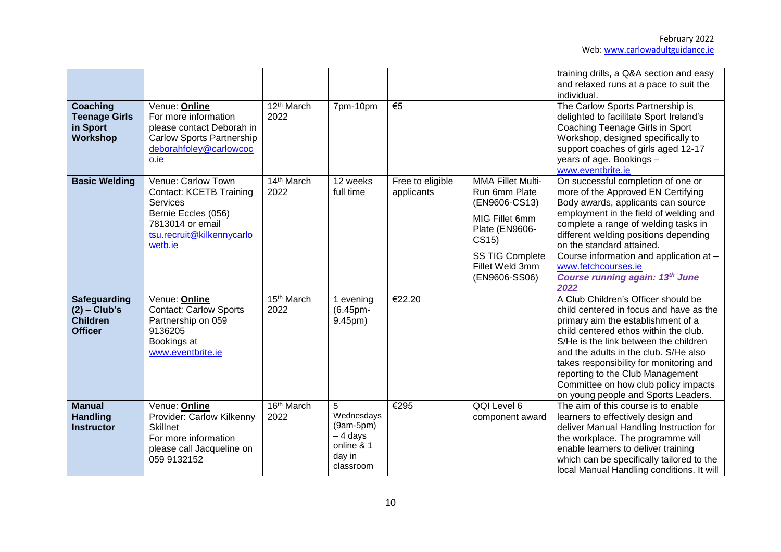|                                                                            |                                                                                                                                                            |                      |                                                                                  |                                |                                                                                                                                                                       | training drills, a Q&A section and easy<br>and relaxed runs at a pace to suit the<br>individual.                                                                                                                                                                                                                                                                                                              |
|----------------------------------------------------------------------------|------------------------------------------------------------------------------------------------------------------------------------------------------------|----------------------|----------------------------------------------------------------------------------|--------------------------------|-----------------------------------------------------------------------------------------------------------------------------------------------------------------------|---------------------------------------------------------------------------------------------------------------------------------------------------------------------------------------------------------------------------------------------------------------------------------------------------------------------------------------------------------------------------------------------------------------|
| Coaching<br><b>Teenage Girls</b><br>in Sport<br>Workshop                   | Venue: Online<br>For more information<br>please contact Deborah in<br><b>Carlow Sports Partnership</b><br>deborahfoley@carlowcoc<br>o.ie                   | $12th$ March<br>2022 | 7pm-10pm                                                                         | $\epsilon$ <sub>5</sub>        |                                                                                                                                                                       | The Carlow Sports Partnership is<br>delighted to facilitate Sport Ireland's<br>Coaching Teenage Girls in Sport<br>Workshop, designed specifically to<br>support coaches of girls aged 12-17<br>years of age. Bookings -<br>www.eventbrite.ie                                                                                                                                                                  |
| <b>Basic Welding</b>                                                       | Venue: Carlow Town<br><b>Contact: KCETB Training</b><br><b>Services</b><br>Bernie Eccles (056)<br>7813014 or email<br>tsu.recruit@kilkennycarlo<br>wetb.ie | 14th March<br>2022   | 12 weeks<br>full time                                                            | Free to eligible<br>applicants | <b>MMA Fillet Multi-</b><br>Run 6mm Plate<br>(EN9606-CS13)<br>MIG Fillet 6mm<br>Plate (EN9606-<br>CS15)<br><b>SS TIG Complete</b><br>Fillet Weld 3mm<br>(EN9606-SS06) | On successful completion of one or<br>more of the Approved EN Certifying<br>Body awards, applicants can source<br>employment in the field of welding and<br>complete a range of welding tasks in<br>different welding positions depending<br>on the standard attained.<br>Course information and application at -<br>www.fetchcourses.ie<br><b>Course running again: 13th June</b><br>2022                    |
| <b>Safeguarding</b><br>$(2)$ – Club's<br><b>Children</b><br><b>Officer</b> | Venue: Online<br><b>Contact: Carlow Sports</b><br>Partnership on 059<br>9136205<br>Bookings at<br>www.eventbrite.ie                                        | 15th March<br>2022   | 1 evening<br>(6.45pm-<br>9.45pm)                                                 | €22.20                         |                                                                                                                                                                       | A Club Children's Officer should be<br>child centered in focus and have as the<br>primary aim the establishment of a<br>child centered ethos within the club.<br>S/He is the link between the children<br>and the adults in the club. S/He also<br>takes responsibility for monitoring and<br>reporting to the Club Management<br>Committee on how club policy impacts<br>on young people and Sports Leaders. |
| <b>Manual</b><br><b>Handling</b><br><b>Instructor</b>                      | Venue: Online<br>Provider: Carlow Kilkenny<br><b>Skillnet</b><br>For more information<br>please call Jacqueline on<br>059 9132152                          | 16th March<br>2022   | 5<br>Wednesdays<br>$(9am-5pm)$<br>$-4$ days<br>online & 1<br>day in<br>classroom | €295                           | QQI Level 6<br>component award                                                                                                                                        | The aim of this course is to enable<br>learners to effectively design and<br>deliver Manual Handling Instruction for<br>the workplace. The programme will<br>enable learners to deliver training<br>which can be specifically tailored to the<br>local Manual Handling conditions. It will                                                                                                                    |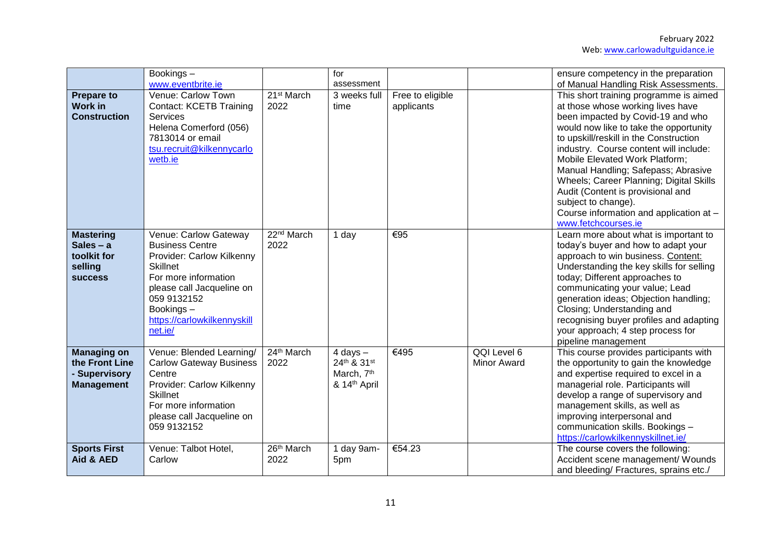|                                                                             | Bookings-<br>www.eventbrite.ie                                                                                                                                                                                             |                                | for<br>assessment                                                     |                                |                                   | ensure competency in the preparation<br>of Manual Handling Risk Assessments.                                                                                                                                                                                                                                                                                                                                                                                                                     |
|-----------------------------------------------------------------------------|----------------------------------------------------------------------------------------------------------------------------------------------------------------------------------------------------------------------------|--------------------------------|-----------------------------------------------------------------------|--------------------------------|-----------------------------------|--------------------------------------------------------------------------------------------------------------------------------------------------------------------------------------------------------------------------------------------------------------------------------------------------------------------------------------------------------------------------------------------------------------------------------------------------------------------------------------------------|
| <b>Prepare to</b><br><b>Work in</b><br><b>Construction</b>                  | Venue: Carlow Town<br><b>Contact: KCETB Training</b><br>Services<br>Helena Comerford (056)<br>7813014 or email<br>tsu.recruit@kilkennycarlo<br>wetb.ie                                                                     | 21 <sup>st</sup> March<br>2022 | 3 weeks full<br>time                                                  | Free to eligible<br>applicants |                                   | This short training programme is aimed<br>at those whose working lives have<br>been impacted by Covid-19 and who<br>would now like to take the opportunity<br>to upskill/reskill in the Construction<br>industry. Course content will include:<br>Mobile Elevated Work Platform;<br>Manual Handling; Safepass; Abrasive<br>Wheels; Career Planning; Digital Skills<br>Audit (Content is provisional and<br>subject to change).<br>Course information and application at -<br>www.fetchcourses.ie |
| <b>Mastering</b><br>Sales $- a$<br>toolkit for<br>selling<br><b>SUCCESS</b> | Venue: Carlow Gateway<br><b>Business Centre</b><br>Provider: Carlow Kilkenny<br><b>Skillnet</b><br>For more information<br>please call Jacqueline on<br>059 9132152<br>Bookings-<br>https://carlowkilkennyskill<br>net.ie/ | 22 <sup>nd</sup> March<br>2022 | 1 day                                                                 | €95                            |                                   | Learn more about what is important to<br>today's buyer and how to adapt your<br>approach to win business. Content:<br>Understanding the key skills for selling<br>today; Different approaches to<br>communicating your value; Lead<br>generation ideas; Objection handling;<br>Closing; Understanding and<br>recognising buyer profiles and adapting<br>your approach; 4 step process for<br>pipeline management                                                                                 |
| <b>Managing on</b><br>the Front Line<br>- Supervisory<br><b>Management</b>  | Venue: Blended Learning/<br><b>Carlow Gateway Business</b><br>Centre<br>Provider: Carlow Kilkenny<br><b>Skillnet</b><br>For more information<br>please call Jacqueline on<br>059 9132152                                   | 24th March<br>2022             | $4$ days $-$<br>24th & 31st<br>March, 7 <sup>th</sup><br>& 14th April | €495                           | QQI Level 6<br><b>Minor Award</b> | This course provides participants with<br>the opportunity to gain the knowledge<br>and expertise required to excel in a<br>managerial role. Participants will<br>develop a range of supervisory and<br>management skills, as well as<br>improving interpersonal and<br>communication skills. Bookings -<br>https://carlowkilkennyskillnet.ie/                                                                                                                                                    |
| <b>Sports First</b><br>Aid & AED                                            | Venue: Talbot Hotel,<br>Carlow                                                                                                                                                                                             | 26th March<br>2022             | 1 day 9am-<br>5pm                                                     | €54.23                         |                                   | The course covers the following:<br>Accident scene management/ Wounds<br>and bleeding/ Fractures, sprains etc./                                                                                                                                                                                                                                                                                                                                                                                  |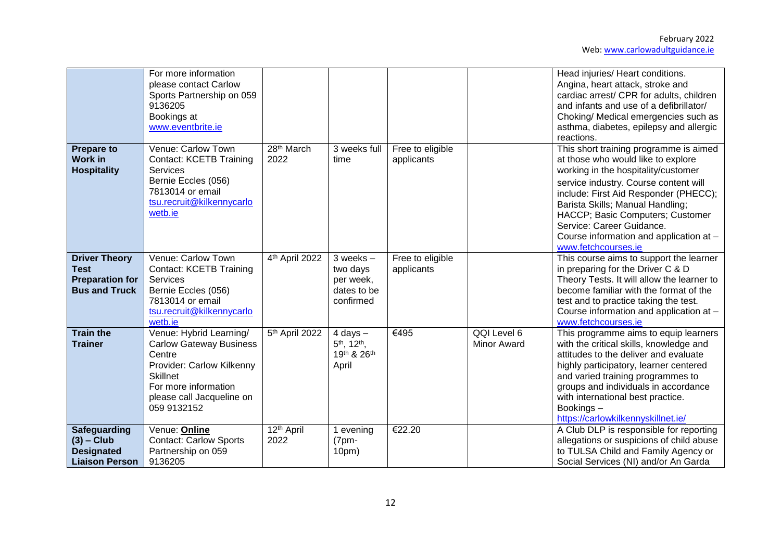|                                                                                       | For more information<br>please contact Carlow<br>Sports Partnership on 059<br>9136205<br>Bookings at<br>www.eventbrite.ie                                                               |                                |                                                                              |                                |                                   | Head injuries/ Heart conditions.<br>Angina, heart attack, stroke and<br>cardiac arrest/ CPR for adults, children<br>and infants and use of a defibrillator/<br>Choking/ Medical emergencies such as<br>asthma, diabetes, epilepsy and allergic<br>reactions.                                                                                                                 |
|---------------------------------------------------------------------------------------|-----------------------------------------------------------------------------------------------------------------------------------------------------------------------------------------|--------------------------------|------------------------------------------------------------------------------|--------------------------------|-----------------------------------|------------------------------------------------------------------------------------------------------------------------------------------------------------------------------------------------------------------------------------------------------------------------------------------------------------------------------------------------------------------------------|
| <b>Prepare to</b><br><b>Work in</b><br><b>Hospitality</b>                             | Venue: Carlow Town<br><b>Contact: KCETB Training</b><br><b>Services</b><br>Bernie Eccles (056)<br>7813014 or email<br>tsu.recruit@kilkennycarlo<br>wetb.ie                              | 28 <sup>th</sup> March<br>2022 | 3 weeks full<br>time                                                         | Free to eligible<br>applicants |                                   | This short training programme is aimed<br>at those who would like to explore<br>working in the hospitality/customer<br>service industry. Course content will<br>include: First Aid Responder (PHECC);<br>Barista Skills; Manual Handling;<br>HACCP; Basic Computers; Customer<br>Service: Career Guidance.<br>Course information and application at -<br>www.fetchcourses.ie |
| <b>Driver Theory</b><br><b>Test</b><br><b>Preparation for</b><br><b>Bus and Truck</b> | Venue: Carlow Town<br><b>Contact: KCETB Training</b><br><b>Services</b><br>Bernie Eccles (056)<br>7813014 or email<br>tsu.recruit@kilkennycarlo<br>wetb.ie                              | 4th April 2022                 | $3$ weeks $-$<br>two days<br>per week,<br>dates to be<br>confirmed           | Free to eligible<br>applicants |                                   | This course aims to support the learner<br>in preparing for the Driver C & D<br>Theory Tests. It will allow the learner to<br>become familiar with the format of the<br>test and to practice taking the test.<br>Course information and application at -<br>www.fetchcourses.ie                                                                                              |
| <b>Train the</b><br><b>Trainer</b>                                                    | Venue: Hybrid Learning/<br><b>Carlow Gateway Business</b><br>Centre<br>Provider: Carlow Kilkenny<br><b>Skillnet</b><br>For more information<br>please call Jacqueline on<br>059 9132152 | 5 <sup>th</sup> April 2022     | $4$ days $-$<br>5 <sup>th</sup> , 12 <sup>th</sup> ,<br>19th & 26th<br>April | €495                           | QQI Level 6<br><b>Minor Award</b> | This programme aims to equip learners<br>with the critical skills, knowledge and<br>attitudes to the deliver and evaluate<br>highly participatory, learner centered<br>and varied training programmes to<br>groups and individuals in accordance<br>with international best practice.<br>Bookings-<br>https://carlowkilkennyskillnet.ie/                                     |
| <b>Safeguarding</b><br>$(3)$ – Club<br><b>Designated</b><br><b>Liaison Person</b>     | Venue: Online<br>Contact: Carlow Sports<br>Partnership on 059<br>9136205                                                                                                                | 12 <sup>th</sup> April<br>2022 | 1 evening<br>$(7pm -$<br>10 <sub>pm</sub>                                    | €22.20                         |                                   | A Club DLP is responsible for reporting<br>allegations or suspicions of child abuse<br>to TULSA Child and Family Agency or<br>Social Services (NI) and/or An Garda                                                                                                                                                                                                           |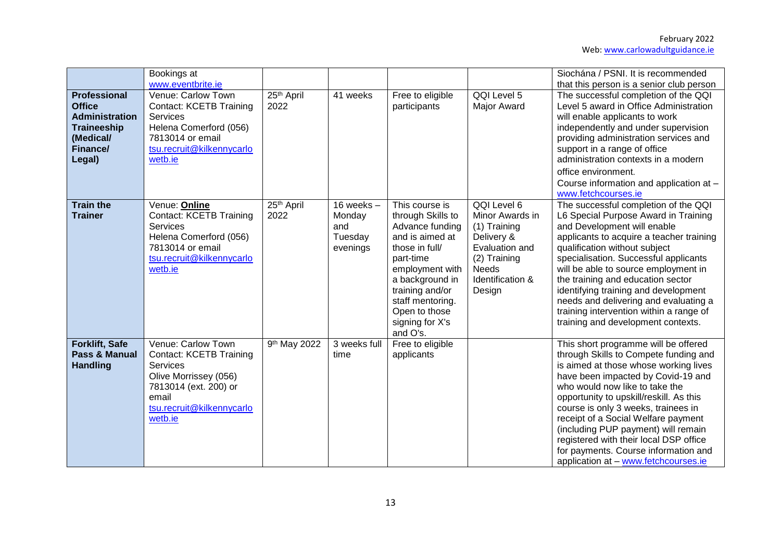|                                                                                                                        | Bookings at<br>www.eventbrite.ie                                                                                                                                    |                                |                                                      |                                                                                                                                                                                                                                       |                                                                                                                                              | Siochána / PSNI. It is recommended<br>that this person is a senior club person                                                                                                                                                                                                                                                                                                                                                                                                           |
|------------------------------------------------------------------------------------------------------------------------|---------------------------------------------------------------------------------------------------------------------------------------------------------------------|--------------------------------|------------------------------------------------------|---------------------------------------------------------------------------------------------------------------------------------------------------------------------------------------------------------------------------------------|----------------------------------------------------------------------------------------------------------------------------------------------|------------------------------------------------------------------------------------------------------------------------------------------------------------------------------------------------------------------------------------------------------------------------------------------------------------------------------------------------------------------------------------------------------------------------------------------------------------------------------------------|
| <b>Professional</b><br><b>Office</b><br><b>Administration</b><br><b>Traineeship</b><br>(Medical/<br>Finance/<br>Legal) | Venue: Carlow Town<br><b>Contact: KCETB Training</b><br>Services<br>Helena Comerford (056)<br>7813014 or email<br>tsu.recruit@kilkennycarlo<br>wetb.ie              | 25 <sup>th</sup> April<br>2022 | 41 weeks                                             | Free to eligible<br>participants                                                                                                                                                                                                      | QQI Level 5<br><b>Major Award</b>                                                                                                            | The successful completion of the QQI<br>Level 5 award in Office Administration<br>will enable applicants to work<br>independently and under supervision<br>providing administration services and<br>support in a range of office<br>administration contexts in a modern<br>office environment.<br>Course information and application at -<br>www.fetchcourses.ie                                                                                                                         |
| <b>Train the</b><br><b>Trainer</b>                                                                                     | Venue: Online<br><b>Contact: KCETB Training</b><br>Services<br>Helena Comerford (056)<br>7813014 or email<br>tsu.recruit@kilkennycarlo<br>wetb.ie                   | 25 <sup>th</sup> April<br>2022 | 16 weeks $-$<br>Monday<br>and<br>Tuesday<br>evenings | This course is<br>through Skills to<br>Advance funding<br>and is aimed at<br>those in full/<br>part-time<br>employment with<br>a background in<br>training and/or<br>staff mentoring.<br>Open to those<br>signing for X's<br>and O's. | QQI Level 6<br>Minor Awards in<br>(1) Training<br>Delivery &<br>Evaluation and<br>(2) Training<br><b>Needs</b><br>Identification &<br>Design | The successful completion of the QQI<br>L6 Special Purpose Award in Training<br>and Development will enable<br>applicants to acquire a teacher training<br>qualification without subject<br>specialisation. Successful applicants<br>will be able to source employment in<br>the training and education sector<br>identifying training and development<br>needs and delivering and evaluating a<br>training intervention within a range of<br>training and development contexts.         |
| Forklift, Safe<br>Pass & Manual<br><b>Handling</b>                                                                     | Venue: Carlow Town<br><b>Contact: KCETB Training</b><br>Services<br>Olive Morrissey (056)<br>7813014 (ext. 200) or<br>email<br>tsu.recruit@kilkennycarlo<br>wetb.ie | 9 <sup>th</sup> May 2022       | 3 weeks full<br>time                                 | Free to eligible<br>applicants                                                                                                                                                                                                        |                                                                                                                                              | This short programme will be offered<br>through Skills to Compete funding and<br>is aimed at those whose working lives<br>have been impacted by Covid-19 and<br>who would now like to take the<br>opportunity to upskill/reskill. As this<br>course is only 3 weeks, trainees in<br>receipt of a Social Welfare payment<br>(including PUP payment) will remain<br>registered with their local DSP office<br>for payments. Course information and<br>application at - www.fetchcourses.ie |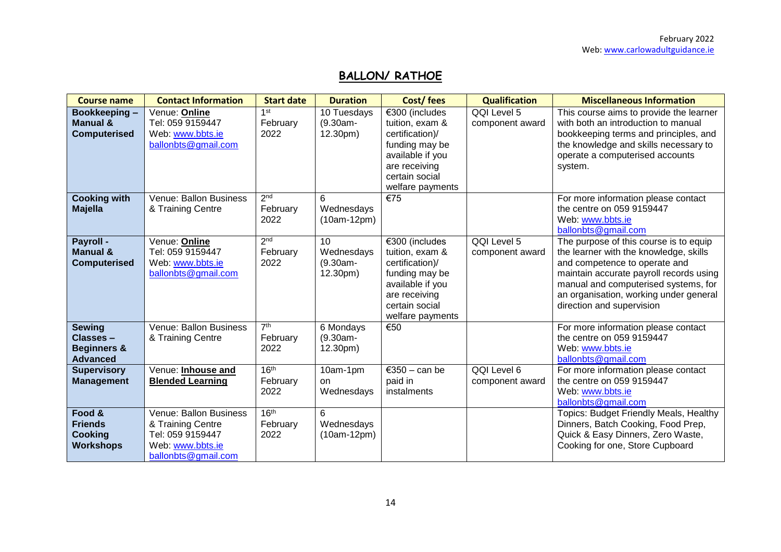# **BALLON/ RATHOE**

| <b>Course name</b>                                                     | <b>Contact Information</b>                                                                                 | <b>Start date</b>                    | <b>Duration</b>                          | Cost/fees                                                                                                                                         | <b>Qualification</b>           | <b>Miscellaneous Information</b>                                                                                                                                                                                                                                            |
|------------------------------------------------------------------------|------------------------------------------------------------------------------------------------------------|--------------------------------------|------------------------------------------|---------------------------------------------------------------------------------------------------------------------------------------------------|--------------------------------|-----------------------------------------------------------------------------------------------------------------------------------------------------------------------------------------------------------------------------------------------------------------------------|
| Bookkeeping-<br><b>Manual &amp;</b><br><b>Computerised</b>             | Venue: Online<br>Tel: 059 9159447<br>Web: www.bbts.ie<br>ballonbts@gmail.com                               | 1st<br>February<br>2022              | 10 Tuesdays<br>(9.30am-<br>12.30pm)      | €300 (includes<br>tuition, exam &<br>certification)/<br>funding may be<br>available if you<br>are receiving<br>certain social<br>welfare payments | QQI Level 5<br>component award | This course aims to provide the learner<br>with both an introduction to manual<br>bookkeeping terms and principles, and<br>the knowledge and skills necessary to<br>operate a computerised accounts<br>system.                                                              |
| <b>Cooking with</b><br><b>Majella</b>                                  | Venue: Ballon Business<br>& Training Centre                                                                | 2 <sub>nd</sub><br>February<br>2022  | 6<br>Wednesdays<br>$(10am-12pm)$         | €75                                                                                                                                               |                                | For more information please contact<br>the centre on 059 9159447<br>Web: www.bbts.ie<br>ballonbts@gmail.com                                                                                                                                                                 |
| Payroll -<br><b>Manual &amp;</b><br><b>Computerised</b>                | Venue: Online<br>Tel: 059 9159447<br>Web: www.bbts.ie<br>ballonbts@gmail.com                               | 2 <sub>nd</sub><br>February<br>2022  | 10<br>Wednesdays<br>(9.30am-<br>12.30pm) | €300 (includes<br>tuition, exam &<br>certification)/<br>funding may be<br>available if you<br>are receiving<br>certain social<br>welfare payments | QQI Level 5<br>component award | The purpose of this course is to equip<br>the learner with the knowledge, skills<br>and competence to operate and<br>maintain accurate payroll records using<br>manual and computerised systems, for<br>an organisation, working under general<br>direction and supervision |
| <b>Sewing</b><br>Classes-<br><b>Beginners &amp;</b><br><b>Advanced</b> | Venue: Ballon Business<br>& Training Centre                                                                | 7 <sup>th</sup><br>February<br>2022  | 6 Mondays<br>$(9.30am -$<br>12.30pm)     | €50                                                                                                                                               |                                | For more information please contact<br>the centre on 059 9159447<br>Web: www.bbts.ie<br>ballonbts@gmail.com                                                                                                                                                                 |
| <b>Supervisory</b><br><b>Management</b>                                | Venue: Inhouse and<br><b>Blended Learning</b>                                                              | 16 <sup>th</sup><br>February<br>2022 | 10am-1pm<br>on.<br>Wednesdays            | €350 - can be<br>paid in<br>instalments                                                                                                           | QQI Level 6<br>component award | For more information please contact<br>the centre on 059 9159447<br>Web: www.bbts.ie<br>ballonbts@gmail.com                                                                                                                                                                 |
| Food &<br><b>Friends</b><br><b>Cooking</b><br><b>Workshops</b>         | Venue: Ballon Business<br>& Training Centre<br>Tel: 059 9159447<br>Web: www.bbts.ie<br>ballonbts@gmail.com | 16 <sup>th</sup><br>February<br>2022 | 6<br>Wednesdays<br>$(10am-12pm)$         |                                                                                                                                                   |                                | Topics: Budget Friendly Meals, Healthy<br>Dinners, Batch Cooking, Food Prep,<br>Quick & Easy Dinners, Zero Waste,<br>Cooking for one, Store Cupboard                                                                                                                        |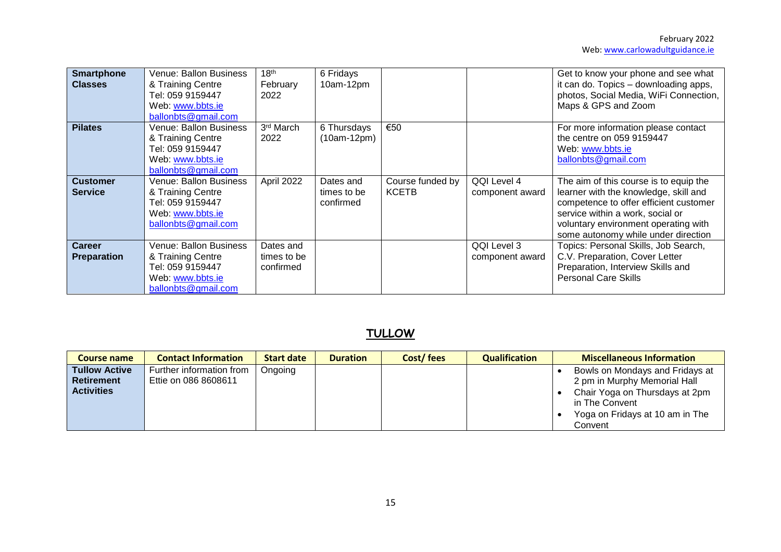| <b>Smartphone</b><br><b>Classes</b> | Venue: Ballon Business<br>& Training Centre<br>Tel: 059 9159447<br>Web: www.bbts.ie<br>ballonbts@gmail.com | 18 <sup>th</sup><br>February<br>2022  | 6 Fridays<br>10am-12pm                |                                  |                                | Get to know your phone and see what<br>it can do. Topics - downloading apps,<br>photos, Social Media, WiFi Connection,<br>Maps & GPS and Zoom                                                                                                |
|-------------------------------------|------------------------------------------------------------------------------------------------------------|---------------------------------------|---------------------------------------|----------------------------------|--------------------------------|----------------------------------------------------------------------------------------------------------------------------------------------------------------------------------------------------------------------------------------------|
| <b>Pilates</b>                      | Venue: Ballon Business<br>& Training Centre<br>Tel: 059 9159447<br>Web: www.bbts.ie<br>ballonbts@gmail.com | 3 <sup>rd</sup> March<br>2022         | 6 Thursdays<br>$(10am-12pm)$          | €50                              |                                | For more information please contact<br>the centre on 059 9159447<br>Web: www.bbts.ie<br>ballonbts@gmail.com                                                                                                                                  |
| <b>Customer</b><br><b>Service</b>   | Venue: Ballon Business<br>& Training Centre<br>Tel: 059 9159447<br>Web: www.bbts.ie<br>ballonbts@gmail.com | April 2022                            | Dates and<br>times to be<br>confirmed | Course funded by<br><b>KCETB</b> | QQI Level 4<br>component award | The aim of this course is to equip the<br>learner with the knowledge, skill and<br>competence to offer efficient customer<br>service within a work, social or<br>voluntary environment operating with<br>some autonomy while under direction |
| <b>Career</b><br><b>Preparation</b> | Venue: Ballon Business<br>& Training Centre<br>Tel: 059 9159447<br>Web: www.bbts.ie<br>ballonbts@gmail.com | Dates and<br>times to be<br>confirmed |                                       |                                  | QQI Level 3<br>component award | Topics: Personal Skills, Job Search,<br>C.V. Preparation, Cover Letter<br>Preparation, Interview Skills and<br><b>Personal Care Skills</b>                                                                                                   |

# **TULLOW**

| <b>Course name</b>   | <b>Contact Information</b> | <b>Start date</b> | <b>Duration</b> | Cost/fees | <b>Qualification</b> | <b>Miscellaneous Information</b> |
|----------------------|----------------------------|-------------------|-----------------|-----------|----------------------|----------------------------------|
| <b>Tullow Active</b> | Further information from   | Ongoing           |                 |           |                      | Bowls on Mondays and Fridays at  |
| <b>Retirement</b>    | Ettie on 086 8608611       |                   |                 |           |                      | 2 pm in Murphy Memorial Hall     |
| <b>Activities</b>    |                            |                   |                 |           |                      | Chair Yoga on Thursdays at 2pm   |
|                      |                            |                   |                 |           |                      | in The Convent                   |
|                      |                            |                   |                 |           |                      | Yoga on Fridays at 10 am in The  |
|                      |                            |                   |                 |           |                      | Convent                          |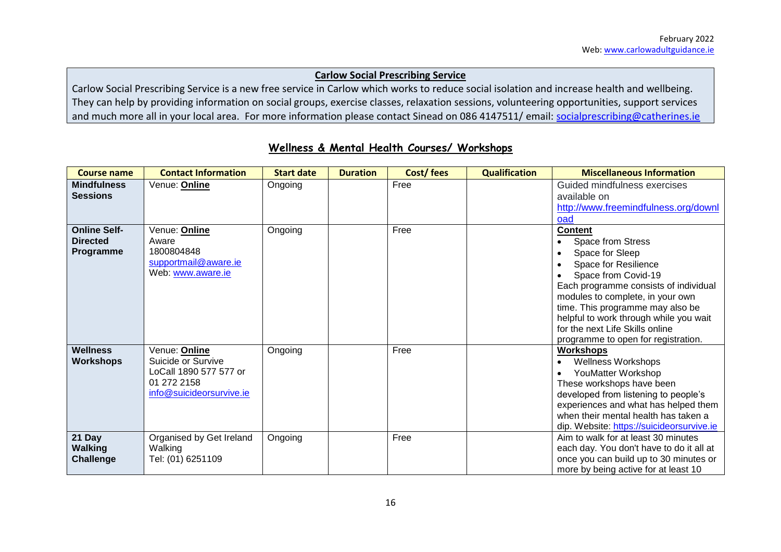#### **Carlow Social Prescribing Service**

Carlow Social Prescribing Service is a new free service in Carlow which works to reduce social isolation and increase health and wellbeing. They can help by providing information on social groups, exercise classes, relaxation sessions, volunteering opportunities, support services and much more all in your local area. For more information please contact Sinead on 086 4147511/ email: [socialprescribing@catherines.ie](mailto:socialprescribing@catherines.ie)

| <b>Course name</b>                                  | <b>Contact Information</b>                                                                               | <b>Start date</b> | <b>Duration</b> | Cost/fees | <b>Qualification</b> | <b>Miscellaneous Information</b>                                                                                                                                                                                                                                                                                                           |
|-----------------------------------------------------|----------------------------------------------------------------------------------------------------------|-------------------|-----------------|-----------|----------------------|--------------------------------------------------------------------------------------------------------------------------------------------------------------------------------------------------------------------------------------------------------------------------------------------------------------------------------------------|
| <b>Mindfulness</b><br><b>Sessions</b>               | Venue: Online                                                                                            | Ongoing           |                 | Free      |                      | Guided mindfulness exercises<br>available on<br>http://www.freemindfulness.org/downl<br>oad                                                                                                                                                                                                                                                |
| <b>Online Self-</b><br><b>Directed</b><br>Programme | Venue: Online<br>Aware<br>1800804848<br>supportmail@aware.ie<br>Web: www.aware.ie                        | Ongoing           |                 | Free      |                      | <b>Content</b><br>Space from Stress<br>Space for Sleep<br>Space for Resilience<br>Space from Covid-19<br>Each programme consists of individual<br>modules to complete, in your own<br>time. This programme may also be<br>helpful to work through while you wait<br>for the next Life Skills online<br>programme to open for registration. |
| Wellness<br><b>Workshops</b>                        | Venue: Online<br>Suicide or Survive<br>LoCall 1890 577 577 or<br>01 272 2158<br>info@suicideorsurvive.ie | Ongoing           |                 | Free      |                      | <b>Workshops</b><br><b>Wellness Workshops</b><br>YouMatter Workshop<br>These workshops have been<br>developed from listening to people's<br>experiences and what has helped them<br>when their mental health has taken a<br>dip. Website: https://suicideorsurvive.ie                                                                      |
| 21 Day<br><b>Walking</b><br><b>Challenge</b>        | Organised by Get Ireland<br>Walking<br>Tel: (01) 6251109                                                 | Ongoing           |                 | Free      |                      | Aim to walk for at least 30 minutes<br>each day. You don't have to do it all at<br>once you can build up to 30 minutes or<br>more by being active for at least 10                                                                                                                                                                          |

# **Wellness & Mental Health Courses/ Workshops**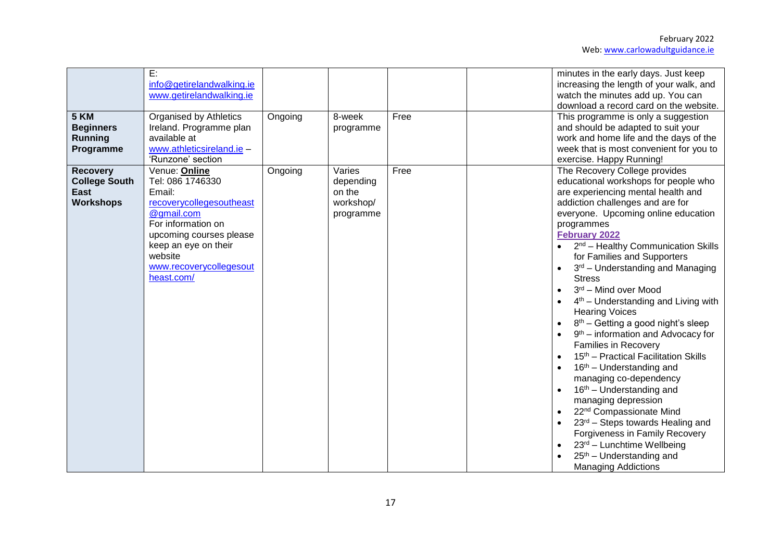| <b>5 KM</b><br><b>Beginners</b><br>Running<br>Programme                    | E:<br>info@getirelandwalking.ie<br>www.getirelandwalking.ie<br>Organised by Athletics<br>Ireland. Programme plan<br>available at<br>www.athleticsireland.ie -<br>'Runzone' section                                 | Ongoing | 8-week<br>programme                                     | Free | minutes in the early days. Just keep<br>increasing the length of your walk, and<br>watch the minutes add up. You can<br>download a record card on the website.<br>This programme is only a suggestion<br>and should be adapted to suit your<br>work and home life and the days of the<br>week that is most convenient for you to<br>exercise. Happy Running!                                                                                                                                                                                                                                                                                                                                                                                                                                                                                                                                                                                                                                            |
|----------------------------------------------------------------------------|--------------------------------------------------------------------------------------------------------------------------------------------------------------------------------------------------------------------|---------|---------------------------------------------------------|------|---------------------------------------------------------------------------------------------------------------------------------------------------------------------------------------------------------------------------------------------------------------------------------------------------------------------------------------------------------------------------------------------------------------------------------------------------------------------------------------------------------------------------------------------------------------------------------------------------------------------------------------------------------------------------------------------------------------------------------------------------------------------------------------------------------------------------------------------------------------------------------------------------------------------------------------------------------------------------------------------------------|
| <b>Recovery</b><br><b>College South</b><br><b>East</b><br><b>Workshops</b> | Venue: Online<br>Tel: 086 1746330<br>Email:<br>recoverycollegesoutheast<br>@gmail.com<br>For information on<br>upcoming courses please<br>keep an eye on their<br>website<br>www.recoverycollegesout<br>heast.com/ | Ongoing | Varies<br>depending<br>on the<br>workshop/<br>programme | Free | The Recovery College provides<br>educational workshops for people who<br>are experiencing mental health and<br>addiction challenges and are for<br>everyone. Upcoming online education<br>programmes<br><b>February 2022</b><br>$\bullet$ 2 <sup>nd</sup> – Healthy Communication Skills<br>for Families and Supporters<br>3 <sup>rd</sup> – Understanding and Managing<br><b>Stress</b><br>3rd - Mind over Mood<br>$4th$ – Understanding and Living with<br><b>Hearing Voices</b><br>$8th$ – Getting a good night's sleep<br>9 <sup>th</sup> – information and Advocacy for<br><b>Families in Recovery</b><br>15 <sup>th</sup> - Practical Facilitation Skills<br>16 <sup>th</sup> – Understanding and<br>managing co-dependency<br>$16th$ – Understanding and<br>managing depression<br>22 <sup>nd</sup> Compassionate Mind<br>23rd - Steps towards Healing and<br>Forgiveness in Family Recovery<br>23rd - Lunchtime Wellbeing<br>25 <sup>th</sup> – Understanding and<br><b>Managing Addictions</b> |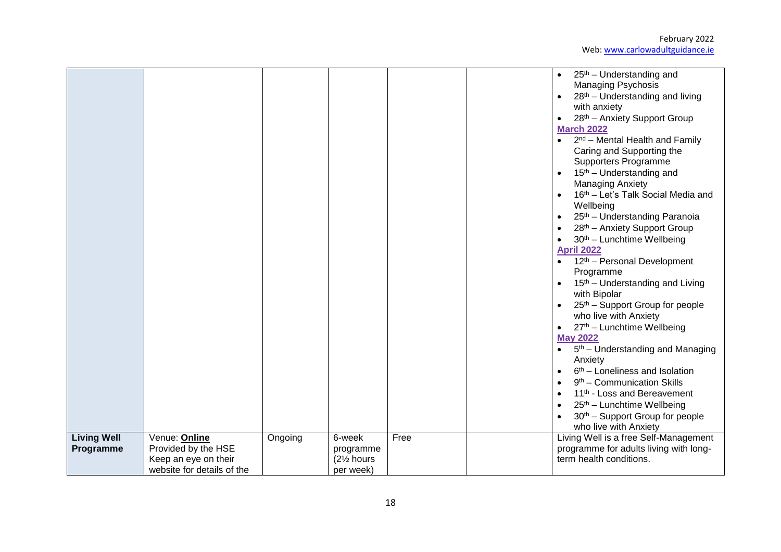|                    |                                                                           |         |                                                   |      | 25 <sup>th</sup> – Understanding and<br><b>Managing Psychosis</b><br>28 <sup>th</sup> – Understanding and living<br>with anxiety<br>28 <sup>th</sup> - Anxiety Support Group<br>$\bullet$<br><b>March 2022</b><br>$2nd$ – Mental Health and Family<br>$\bullet$<br>Caring and Supporting the<br>Supporters Programme<br>15 <sup>th</sup> – Understanding and<br><b>Managing Anxiety</b><br>16th - Let's Talk Social Media and<br>Wellbeing<br>25 <sup>th</sup> - Understanding Paranoia<br>28 <sup>th</sup> - Anxiety Support Group<br>30th - Lunchtime Wellbeing<br><b>April 2022</b><br>12 <sup>th</sup> – Personal Development<br>$\bullet$<br>Programme<br>15 <sup>th</sup> – Understanding and Living<br>with Bipolar<br>25 <sup>th</sup> – Support Group for people<br>who live with Anxiety<br>27th - Lunchtime Wellbeing<br><b>May 2022</b><br>$\bullet$ 5 <sup>th</sup> – Understanding and Managing<br>Anxiety<br>$6th$ – Loneliness and Isolation<br>9 <sup>th</sup> – Communication Skills<br>11 <sup>th</sup> - Loss and Bereavement<br>25 <sup>th</sup> – Lunchtime Wellbeing<br>30 <sup>th</sup> - Support Group for people<br>who live with Anxiety |
|--------------------|---------------------------------------------------------------------------|---------|---------------------------------------------------|------|---------------------------------------------------------------------------------------------------------------------------------------------------------------------------------------------------------------------------------------------------------------------------------------------------------------------------------------------------------------------------------------------------------------------------------------------------------------------------------------------------------------------------------------------------------------------------------------------------------------------------------------------------------------------------------------------------------------------------------------------------------------------------------------------------------------------------------------------------------------------------------------------------------------------------------------------------------------------------------------------------------------------------------------------------------------------------------------------------------------------------------------------------------------------|
| <b>Living Well</b> | Venue: Online                                                             | Ongoing | 6-week                                            | Free | Living Well is a free Self-Management                                                                                                                                                                                                                                                                                                                                                                                                                                                                                                                                                                                                                                                                                                                                                                                                                                                                                                                                                                                                                                                                                                                               |
| Programme          | Provided by the HSE<br>Keep an eye on their<br>website for details of the |         | programme<br>(21/ <sub>2</sub> hours<br>per week) |      | programme for adults living with long-<br>term health conditions.                                                                                                                                                                                                                                                                                                                                                                                                                                                                                                                                                                                                                                                                                                                                                                                                                                                                                                                                                                                                                                                                                                   |